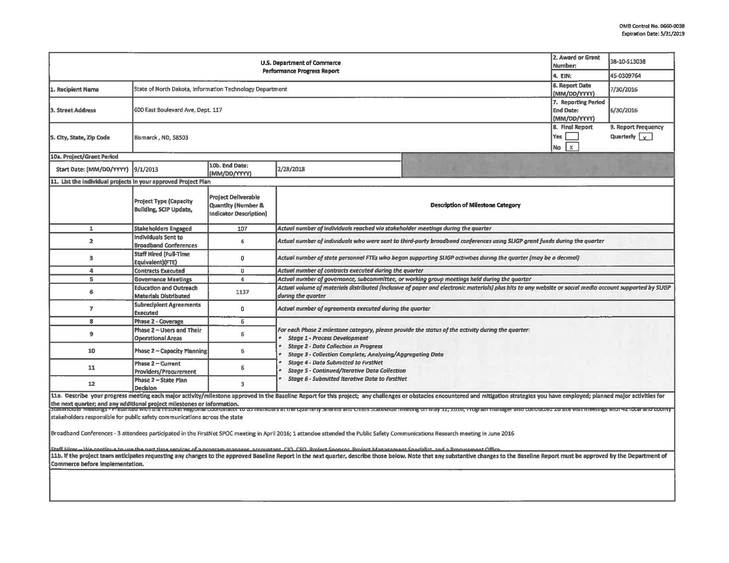| <b>U.S. Department of Commerce</b><br><b>Performance Progress Report</b>   |                                                                |                                                                                       |                                                                                                                                                                                                                                                                |                                                                                                                                                                                                                                                                                                                                                                                                                             | 2. Award or Grant<br>Number:<br>4. EIN:                 | 38-10-S13038<br>45-0309764                  |  |  |  |
|----------------------------------------------------------------------------|----------------------------------------------------------------|---------------------------------------------------------------------------------------|----------------------------------------------------------------------------------------------------------------------------------------------------------------------------------------------------------------------------------------------------------------|-----------------------------------------------------------------------------------------------------------------------------------------------------------------------------------------------------------------------------------------------------------------------------------------------------------------------------------------------------------------------------------------------------------------------------|---------------------------------------------------------|---------------------------------------------|--|--|--|
|                                                                            |                                                                |                                                                                       |                                                                                                                                                                                                                                                                |                                                                                                                                                                                                                                                                                                                                                                                                                             |                                                         |                                             |  |  |  |
| 1. Recipient Name                                                          | State of North Dakota, Information Technology Department       |                                                                                       |                                                                                                                                                                                                                                                                |                                                                                                                                                                                                                                                                                                                                                                                                                             | 6. Report Date<br>(MM/DD/YYYY)                          | 7/30/2016                                   |  |  |  |
| <b>3. Street Address</b>                                                   | 600 East Boulevard Ave, Dept. 117                              |                                                                                       |                                                                                                                                                                                                                                                                |                                                                                                                                                                                                                                                                                                                                                                                                                             | 7. Reporting Period<br><b>End Date:</b><br>(MM/DD/YYYY) | 6/30/2016                                   |  |  |  |
| 5. City, State, Zip Code                                                   | Bismarck, ND, 58503                                            |                                                                                       |                                                                                                                                                                                                                                                                |                                                                                                                                                                                                                                                                                                                                                                                                                             | 8. Final Report<br>Yes<br>$\mathbf{x}$<br><b>No</b>     | 9. Report Frequency<br>Quarterly $\sqrt{y}$ |  |  |  |
| 10a. Project/Grant Period                                                  |                                                                |                                                                                       |                                                                                                                                                                                                                                                                |                                                                                                                                                                                                                                                                                                                                                                                                                             |                                                         |                                             |  |  |  |
| Start Date: (MM/DD/YYYY)                                                   | 9/1/2013                                                       | 10b. End Date:<br>(MM/DD/YYYY)                                                        | 2/28/2018                                                                                                                                                                                                                                                      |                                                                                                                                                                                                                                                                                                                                                                                                                             |                                                         |                                             |  |  |  |
| 11. List the Individual projects in your approved Project Plan             |                                                                |                                                                                       |                                                                                                                                                                                                                                                                |                                                                                                                                                                                                                                                                                                                                                                                                                             |                                                         |                                             |  |  |  |
|                                                                            | <b>Project Type (Capacity</b><br><b>Building, SCIP Update,</b> | <b>Project Deliverable</b><br><b>Quantity (Number &amp;</b><br>Indicator Description) |                                                                                                                                                                                                                                                                | <b>Description of Milestone Category</b>                                                                                                                                                                                                                                                                                                                                                                                    |                                                         |                                             |  |  |  |
| $\mathbf{1}$                                                               | <b>Stakeholders Engaged</b>                                    | 107                                                                                   | Actual number of individuals reached via stakeholder meetings during the quarter                                                                                                                                                                               |                                                                                                                                                                                                                                                                                                                                                                                                                             |                                                         |                                             |  |  |  |
| $\overline{2}$                                                             | Individuals Sent to<br><b>Broadband Conferences</b>            | 4                                                                                     | Actual number of individuals who were sent to third-party broadband conferences using SLIGP grant funds during the quarter                                                                                                                                     |                                                                                                                                                                                                                                                                                                                                                                                                                             |                                                         |                                             |  |  |  |
| $\overline{\mathbf{3}}$                                                    | <b>Staff Hired (Full-Time)</b><br>Equivalent)(FTE)             | $\mathbf{0}$                                                                          | Actual number of state personnel FTEs who began supporting SLIGP activities during the quarter (may be a decimal)                                                                                                                                              |                                                                                                                                                                                                                                                                                                                                                                                                                             |                                                         |                                             |  |  |  |
| $\Delta$                                                                   | <b>Contracts Executed</b>                                      | $\Omega$                                                                              | Actual number of contracts executed during the quarter                                                                                                                                                                                                         |                                                                                                                                                                                                                                                                                                                                                                                                                             |                                                         |                                             |  |  |  |
| $\mathsf{s}$                                                               | <b>Governance Meetings</b>                                     | 4                                                                                     | Actual number of governance, subcommittee, or working group meetings held during the quarter                                                                                                                                                                   |                                                                                                                                                                                                                                                                                                                                                                                                                             |                                                         |                                             |  |  |  |
| 6                                                                          | <b>Education and Outreach</b><br><b>Materials Distributed</b>  | 1137                                                                                  | Actual volume of materials distributed (inclusive of paper and electronic materials) plus hits to any website or social media account supported by SLIGP<br>during the quarter                                                                                 |                                                                                                                                                                                                                                                                                                                                                                                                                             |                                                         |                                             |  |  |  |
| $\overline{ }$                                                             | <b>Subreciplent Agreements</b><br><b>Executed</b>              | 0                                                                                     | Actual number of agreements executed during the quarter                                                                                                                                                                                                        |                                                                                                                                                                                                                                                                                                                                                                                                                             |                                                         |                                             |  |  |  |
| 8                                                                          | <b>Phase 2 - Coverage</b>                                      | 6                                                                                     |                                                                                                                                                                                                                                                                |                                                                                                                                                                                                                                                                                                                                                                                                                             |                                                         |                                             |  |  |  |
| $\mathbf{9}$                                                               | Phase 2 - Users and Their<br><b>Operational Areas</b>          | 6                                                                                     | For each Phase 2 milestone category, please provide the status of the activity during the quarter:<br><b>Stage 1 - Process Development</b><br><b>Stage 2 - Data Collection in Progress</b><br><b>Stage 3 - Collection Complete; Analyzing/Aggregating Data</b> |                                                                                                                                                                                                                                                                                                                                                                                                                             |                                                         |                                             |  |  |  |
| 10                                                                         | <b>Phase 2 - Capacity Planning</b>                             | 6                                                                                     |                                                                                                                                                                                                                                                                |                                                                                                                                                                                                                                                                                                                                                                                                                             |                                                         |                                             |  |  |  |
| 11                                                                         | Phase 2 - Current<br><b>Providers/Procurement</b>              | 6                                                                                     | <b>Stage 4 - Data Submitted to FirstNet</b><br><b>Stage 5 - Continued/Iterative Data Collection</b>                                                                                                                                                            |                                                                                                                                                                                                                                                                                                                                                                                                                             |                                                         |                                             |  |  |  |
| 12                                                                         | Phase 2 - State Plan<br><b>Decision</b>                        | 3                                                                                     | <b>Stage 6 - Submitted Iterative Data to FirstNet</b>                                                                                                                                                                                                          |                                                                                                                                                                                                                                                                                                                                                                                                                             |                                                         |                                             |  |  |  |
| stakeholders responsible for public safety communications across the state |                                                                |                                                                                       |                                                                                                                                                                                                                                                                | 11a. Describe your progress meeting each major activity/milestone approved in the Baseline Report for this project; any challenges or obstacles encountered and mitigation strategies you have employed; planned major activit<br>the next quarter; and any additional project milestones or information.<br> ചരന്തരേന്ദ്ര കൊണ്ടാണ് അന്നായ അവസ്ഥാനത്തിന്റെ പരമായ അവസ്ഥാനത്തിന്റെ അവസ്ഥാനത്തിന്റെ അവസ്ഥാനത്തിന്റെ അവസ്ഥാനത്ത |                                                         |                                             |  |  |  |
|                                                                            |                                                                |                                                                                       | Broadband Conferences - 3 attendees participated in the FirstNet SPOC meeting in April 2016; 1 attendee attended the Public Safety Communications Research meeting in June 2016                                                                                |                                                                                                                                                                                                                                                                                                                                                                                                                             |                                                         |                                             |  |  |  |
|                                                                            |                                                                |                                                                                       | Staff Hirac - Wa continue to use the nart time centices of a program mangger accountant CIO CEO Prolect Snopsor Project Management Snocklist and a Procurement Offici                                                                                          | 11b. If the project team anticipates requesting any changes to the approved Baseline Report in the next quarter, describe those below. Note that any substantive changes to the Baseline Report must be approved by the Depart                                                                                                                                                                                              |                                                         |                                             |  |  |  |
| Commerce before implementation.                                            |                                                                |                                                                                       |                                                                                                                                                                                                                                                                |                                                                                                                                                                                                                                                                                                                                                                                                                             |                                                         |                                             |  |  |  |
|                                                                            |                                                                |                                                                                       |                                                                                                                                                                                                                                                                |                                                                                                                                                                                                                                                                                                                                                                                                                             |                                                         |                                             |  |  |  |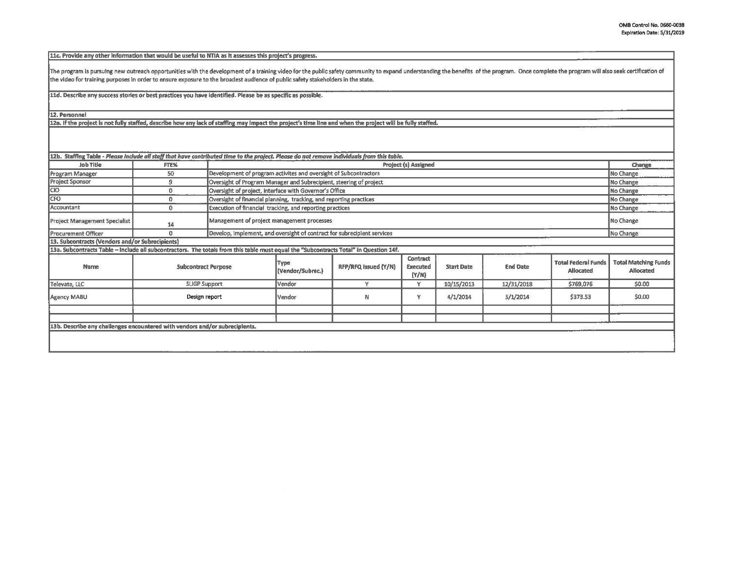11c. Provide any other information that would be useful to NTIA as it assesses this project's progress.

The program is pursuing new outreach opportunities with the development of a training video for the public safety community to expand understanding the benefits of the program. Once complete the program will also seek cert the video for training purposes in order to ensure exposure to the broadest audience of publlc safety stakeholders in the state.

lld. **Describe any** success stories **or best practices yau have identified. Please be as specific as possible.** 

12. **Personnel** 

12a. If the project is not fully staffed, describe how any lack of staffing may impact the project's time line and when the project will be fully staffed.

| 12b. Staffing Table - Please include all staff that have contributed time to the project. Please do not remove individuals from this table. |                            |                                                                    |                                                                         |                      |                               |                   |                 |                                                |                                                 |
|---------------------------------------------------------------------------------------------------------------------------------------------|----------------------------|--------------------------------------------------------------------|-------------------------------------------------------------------------|----------------------|-------------------------------|-------------------|-----------------|------------------------------------------------|-------------------------------------------------|
| Job Title                                                                                                                                   | FTE%                       |                                                                    | Project (s) Assigned                                                    |                      |                               |                   |                 |                                                | Change                                          |
| Program Manager                                                                                                                             | 50                         |                                                                    | Development of program activites and oversight of Subcontractors        |                      |                               |                   |                 |                                                | No Change                                       |
| <b>Project Sponsor</b>                                                                                                                      | 9                          | Oversight of Program Manager and Subrecipient, steering of project |                                                                         |                      |                               |                   |                 | No Change                                      |                                                 |
| CIO                                                                                                                                         | $\mathbf{0}$               | Oversight of project, interface with Governor's Office             |                                                                         |                      |                               |                   |                 | No Change                                      |                                                 |
| <b>CFO</b>                                                                                                                                  | $\Omega$                   | Oversight of financial planning, tracking, and reporting practices |                                                                         |                      |                               |                   |                 | No Change                                      |                                                 |
| Accountant                                                                                                                                  | $^{\circ}$                 |                                                                    | Execution of financial tracking, and reporting practices                |                      |                               |                   |                 |                                                | No Change                                       |
| <b>Project Management Specialist</b>                                                                                                        | 14                         |                                                                    | Management of project management processes                              |                      |                               |                   |                 |                                                | No Change                                       |
| <b>Procurement Officer</b>                                                                                                                  | 0                          |                                                                    | Develop, Implement, and oversight of contract for subreciplent services |                      |                               |                   |                 |                                                | No Change                                       |
| 13. Subcontracts (Vendors and/or Subrecipients)                                                                                             |                            |                                                                    |                                                                         |                      |                               |                   |                 |                                                |                                                 |
| 13a. Subcontracts Table - Include all subcontractors. The totals from this table must equal the "Subcontracts Total" in Question 14f.       |                            |                                                                    |                                                                         |                      |                               |                   |                 |                                                |                                                 |
| <b>Name</b>                                                                                                                                 | <b>Subcontract Purpose</b> |                                                                    | Type<br>(Vendor/Subrec.)                                                | RFP/RFQ Issued (Y/N) | Contract<br>Executed<br>(Y/N) | <b>Start Date</b> | <b>End Date</b> | <b>Total Federal Funds</b><br><b>Allocated</b> | <b>Total Matching Funds</b><br><b>Allocated</b> |
| Televate, LLC                                                                                                                               | <b>SLIGP Support</b>       |                                                                    | Vendor                                                                  | v                    | Y                             | 10/15/2013        | 12/31/2018      | \$769,076                                      | \$0.00                                          |
| Agency MABU                                                                                                                                 |                            | Design report                                                      |                                                                         | N                    | Y                             | 4/1/2014          | 5/1/2014        | \$373.53                                       | \$0.00                                          |
|                                                                                                                                             |                            |                                                                    |                                                                         |                      |                               |                   |                 |                                                |                                                 |
|                                                                                                                                             |                            |                                                                    |                                                                         |                      |                               |                   |                 |                                                |                                                 |
| 13b. Describe any challenges encountered with vendors and/or subrecipients.                                                                 |                            |                                                                    |                                                                         |                      |                               |                   |                 |                                                |                                                 |
|                                                                                                                                             |                            |                                                                    |                                                                         |                      |                               |                   |                 |                                                |                                                 |